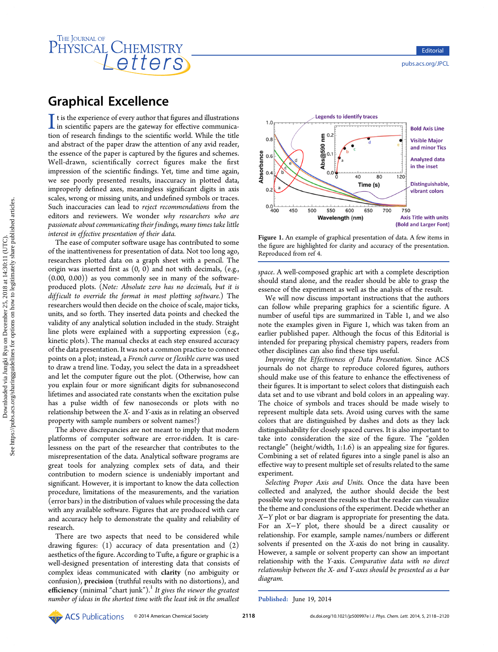# THE JOURNAL OF HYSICAL CHEMISTRY

# Graphical Excellence

I t is the experience of every author that figures and illustrations<br>in scientific papers are the gateway for effective communica-<br>tion of research findings to the scientific world. While the title in scientific papers are the gateway for effective communication of research findings to the scientific world. While the title and abstract of the paper draw the attention of any avid reader, the essence of the paper is captured by the figures and schemes. Well-drawn, scientifically correct figures make the first impression of the scientific findings. Yet, time and time again, we see poorly presented results, inaccuracy in plotted data, improperly defined axes, meaningless significant digits in axis scales, wrong or missing units, and undefined symbols or traces. Such inaccuracies can lead to reject recommendations from the editors and reviewers. We wonder why researchers who are passionate about communicating their findings, many times take little interest in effective presentation of their data.

The ease of computer software usage has contributed to some of the inattentiveness for presentation of data. Not too long ago, researchers plotted data on a graph sheet with a pencil. The origin was inserted first as (0, 0) and not with decimals, (e.g., (0.00, 0.00)) as you commonly see in many of the softwareproduced plots. (Note: Absolute zero has no decimals, but it is difficult to override the format in most plotting software.) The researchers would then decide on the choice of scale, major ticks, units, and so forth. They inserted data points and checked the validity of any analytical solution included in the study. Straight line plots were explained with a supporting expression (e.g., kinetic plots). The manual checks at each step ensured accuracy of the data presentation. It was not a common practice to connect points on a plot; instead, a French curve or flexible curve was used to draw a trend line. Today, you select the data in a spreadsheet and let the computer figure out the plot. (Otherwise, how can you explain four or more significant digits for subnanosecond lifetimes and associated rate constants when the excitation pulse has a pulse width of few nanoseconds or plots with no relationship between the X- and Y-axis as in relating an observed property with sample numbers or solvent names?)

The above discrepancies are not meant to imply that modern platforms of computer software are error-ridden. It is carelessness on the part of the researcher that contributes to the misrepresentation of the data. Analytical software programs are great tools for analyzing complex sets of data, and their contribution to modern science is undeniably important and significant. However, it is important to know the data collection procedure, limitations of the measurements, and the variation (error bars) in the distribution of values while processing the data with any available software. Figures that are produced with care and accuracy help to demonstrate the quality and reliability of research.

There are two aspects that need to be considered while drawing figures: (1) accuracy of data presentation and (2) aesthetics of the figure. According to Tufte, a figure or graphic is a well-designed presentation of interesting data that consists of complex ideas communicated with clarity (no ambiguity or confusion), precision (truthful results with no distortions), and efficiency (minimal "chart junk").<sup>[1](#page-2-0)</sup> It gives the viewer the greatest number of ideas in the shortest time with the least ink in the smallest



Figure 1. An example of graphical presentation of data. A few items in the figure are highlighted for clarity and accuracy of the presentation. Reproduced from ref [4.](#page-2-0)

space. A well-composed graphic art with a complete description should stand alone, and the reader should be able to grasp the essence of the experiment as well as the analysis of the result.

We will now discuss important instructions that the authors can follow while preparing graphics for a scientific figure. A number of useful tips are summarized in Table [1,](#page-1-0) and we also note the examples given in Figure 1, which was taken from an earlier published paper. Although the focus of this Editorial is intended for preparing physical chemistry papers, readers from other disciplines can also find these tips useful.

Improving the Effectiveness of Data Presentation. Since ACS journals do not charge to reproduce colored figures, authors should make use of this feature to enhance the effectiveness of their figures. It is important to select colors that distinguish each data set and to use vibrant and bold colors in an appealing way. The choice of symbols and traces should be made wisely to represent multiple data sets. Avoid using curves with the same colors that are distinguished by dashes and dots as they lack distinguishability for closely spaced curves. It is also important to take into consideration the size of the figure. The "golden rectangle" (height/width, 1:1.6) is an appealing size for figures. Combining a set of related figures into a single panel is also an effective way to present multiple set of results related to the same experiment.

Selecting Proper Axis and Units. Once the data have been collected and analyzed, the author should decide the best possible way to present the results so that the reader can visualize the theme and conclusions of the experiment. Decide whether an X−Y plot or bar diagram is appropriate for presenting the data. For an X−Y plot, there should be a direct causality or relationship. For example, sample names/numbers or different solvents if presented on the X-axis do not bring in causality. However, a sample or solvent property can show an important relationship with the Y-axis. Comparative data with no direct relationship between the X- and Y-axes should be presented as a bar diagram.

Published: June 19, 2014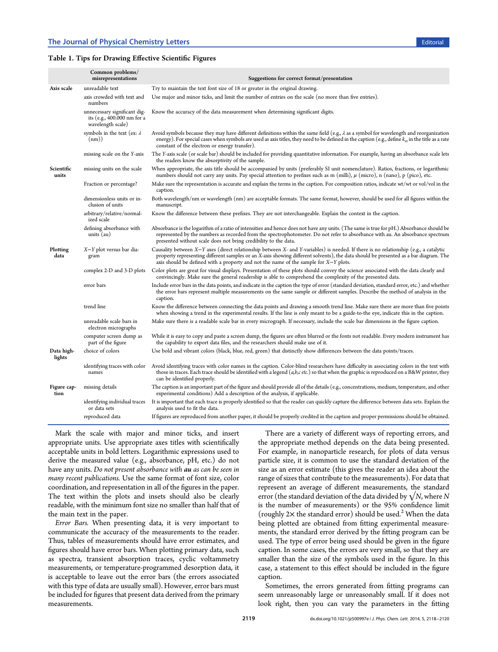# <span id="page-1-0"></span>Table 1. Tips for Drawing Effective Scientific Figures

|                      | Common problems/<br>misrepresentations                                           | Suggestions for correct format/presentation                                                                                                                                                                                                                                                                                                                               |
|----------------------|----------------------------------------------------------------------------------|---------------------------------------------------------------------------------------------------------------------------------------------------------------------------------------------------------------------------------------------------------------------------------------------------------------------------------------------------------------------------|
| Axis scale           | unreadable text                                                                  | Try to maintain the text font size of 18 or greater in the original drawing.                                                                                                                                                                                                                                                                                              |
|                      | axis crowded with text and<br>numbers                                            | Use major and minor ticks, and limit the number of entries on the scale (no more than five entries).                                                                                                                                                                                                                                                                      |
|                      | unnecessary significant dig-<br>its (e.g., 400.000 nm for a<br>wavelength scale) | Know the accuracy of the data measurement when determining significant digits.                                                                                                                                                                                                                                                                                            |
|                      | symbols in the text (ex: $\lambda$<br>(nm))                                      | Avoid symbols because they may have different definitions within the same field (e.g., $\lambda$ as a symbol for wavelength and reorganization<br>energy). For special cases when symbols are used as axis titles, they need to be defined in the caption (e.g., define $k_{\text{et}}$ in the title as a rate<br>constant of the electron or energy transfer).           |
|                      | missing scale on the Y-axis                                                      | The Y-axis scale (or scale bar) should be included for providing quantitative information. For example, having an absorbance scale lets<br>the readers know the absorptivity of the sample.                                                                                                                                                                               |
| Scientific<br>units  | missing units on the scale                                                       | When appropriate, the axis title should be accompanied by units (preferably SI unit nomenclature). Ratios, fractions, or logarithmic<br>numbers should not carry any units. Pay special attention to prefixes such as m (milli), $\mu$ (micro), n (nano), p (pico), etc.                                                                                                  |
|                      | Fraction or percentage?                                                          | Make sure the representation is accurate and explain the terms in the caption. For composition ratios, indicate wt/wt or vol/vol in the<br>caption.                                                                                                                                                                                                                       |
|                      | dimensionless units or in-<br>clusion of units                                   | Both wavelength/nm or wavelength (nm) are acceptable formats. The same format, however, should be used for all figures within the<br>manuscript.                                                                                                                                                                                                                          |
|                      | arbitrary/relative/normal-<br>ized scale                                         | Know the difference between these prefixes. They are not interchangeable. Explain the context in the caption.                                                                                                                                                                                                                                                             |
|                      | defining absorbance with<br>units $(au)$                                         | Absorbance is the logarithm of a ratio of intensities and hence does not have any units. (The same is true for pH.) Absorbance should be<br>represented by the numbers as recorded from the spectrophotometer. Do not refer to absorbance with au. An absorbance spectrum<br>presented without scale does not bring credibility to the data.                              |
| Plotting<br>data     | X-Y plot versus bar dia-<br>gram                                                 | Causality between $X-Y$ axes (direct relationship between X- and Y-variables) is needed. If there is no relationship (e.g., a catalytic<br>property representing different samples or an X-axis showing different solvents), the data should be presented as a bar diagram. The<br>axis should be defined with a property and not the name of the sample for $X-Y$ plots. |
|                      | complex 2-D and 3-D plots                                                        | Color plots are great for visual displays. Presentation of these plots should convey the science associated with the data clearly and<br>convincingly. Make sure the general readership is able to comprehend the complexity of the presented data.                                                                                                                       |
|                      | error bars                                                                       | Include error bars in the data points, and indicate in the caption the type of error (standard deviation, standard error, etc.) and whether<br>the error bars represent multiple measurements on the same sample or different samples. Describe the method of analysis in the<br>caption.                                                                                 |
|                      | trend line                                                                       | Know the difference between connecting the data points and drawing a smooth trend line. Make sure there are more than five points<br>when showing a trend in the experimental results. If the line is only meant to be a guide-to-the eye, indicate this in the caption.                                                                                                  |
|                      | unreadable scale bars in<br>electron micrographs                                 | Make sure there is a readable scale bar in every micrograph. If necessary, include the scale bar dimensions in the figure caption.                                                                                                                                                                                                                                        |
|                      | computer screen dump as<br>part of the figure                                    | While it is easy to copy and paste a screen dump, the figures are often blurred or the fonts not readable. Every modern instrument has<br>the capability to export data files, and the researchers should make use of it.                                                                                                                                                 |
| Data high-<br>lights | choice of colors                                                                 | Use bold and vibrant colors (black, blue, red, green) that distinctly show differences between the data points/traces.                                                                                                                                                                                                                                                    |
|                      | identifying traces with color<br>names                                           | Avoid identifying traces with color names in the caption. Color-blind researchers have difficulty in associating colors in the text with<br>those in traces. Each trace should be identified with a legend $(a,b,c$ etc.) so that when the graphic is reproduced on a B&W printer, they<br>can be identified properly.                                                    |
| Figure cap-<br>tion  | missing details                                                                  | The caption is an important part of the figure and should provide all of the details (e.g., concentrations, medium, temperature, and other<br>experimental conditions) Add a description of the analysis, if applicable.                                                                                                                                                  |
|                      | identifying individual traces<br>or data sets                                    | It is important that each trace is properly identified so that the reader can quickly capture the difference between data sets. Explain the<br>analysis used to fit the data.                                                                                                                                                                                             |
|                      | reproduced data                                                                  | If figures are reproduced from another paper, it should be properly credited in the caption and proper permissions should be obtained.                                                                                                                                                                                                                                    |

Mark the scale with major and minor ticks, and insert appropriate units. Use appropriate axes titles with scientifically acceptable units in bold letters. Logarithmic expressions used to derive the measured value (e.g., absorbance, pH, etc.) do not have any units. Do not present absorbance with au as can be seen in many recent publications. Use the same format of font size, color coordination, and representation in all of the figures in the paper. The text within the plots and insets should also be clearly readable, with the minimum font size no smaller than half that of the main text in the paper.

Error Bars. When presenting data, it is very important to communicate the accuracy of the measurements to the reader. Thus, tables of measurements should have error estimates, and figures should have error bars. When plotting primary data, such as spectra, transient absorption traces, cyclic voltammetry measurements, or temperature-programmed desorption data, it is acceptable to leave out the error bars (the errors associated with this type of data are usually small). However, error bars must be included for figures that present data derived from the primary measurements.

There are a variety of different ways of reporting errors, and the appropriate method depends on the data being presented. For example, in nanoparticle research, for plots of data versus particle size, it is common to use the standard deviation of the size as an error estimate (this gives the reader an idea about the range of sizes that contribute to the measurements). For data that represent an average of different measurements, the standard error (the standard deviation of the data divided by  $\sqrt{N}$ , where N is the number of measurements) or the 95% confidence limit (roughly  $2\times$  $2\times$  the standard error) should be used.<sup>2</sup> When the data being plotted are obtained from fitting experimental measurements, the standard error derived by the fitting program can be used. The type of error being used should be given in the figure caption. In some cases, the errors are very small, so that they are smaller than the size of the symbols used in the figure. In this case, a statement to this effect should be included in the figure caption.

Sometimes, the errors generated from fitting programs can seem unreasonably large or unreasonably small. If it does not look right, then you can vary the parameters in the fitting